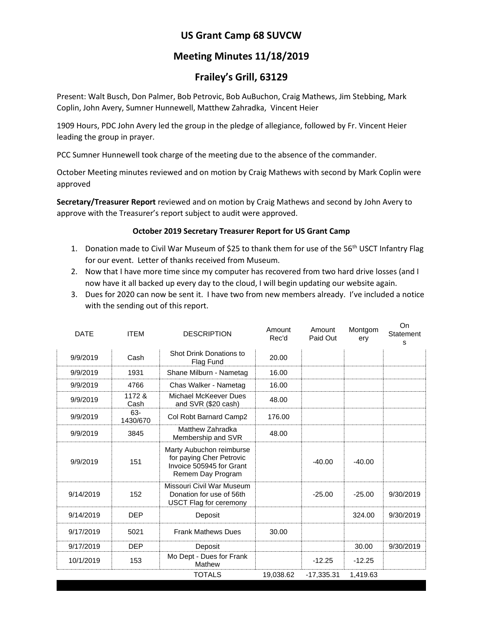# **US Grant Camp 68 SUVCW**

## **Meeting Minutes 11/18/2019**

## **Frailey's Grill, 63129**

Present: Walt Busch, Don Palmer, Bob Petrovic, Bob AuBuchon, Craig Mathews, Jim Stebbing, Mark Coplin, John Avery, Sumner Hunnewell, Matthew Zahradka, Vincent Heier

1909 Hours, PDC John Avery led the group in the pledge of allegiance, followed by Fr. Vincent Heier leading the group in prayer.

PCC Sumner Hunnewell took charge of the meeting due to the absence of the commander.

October Meeting minutes reviewed and on motion by Craig Mathews with second by Mark Coplin were approved

**Secretary/Treasurer Report** reviewed and on motion by Craig Mathews and second by John Avery to approve with the Treasurer's report subject to audit were approved.

### **October 2019 Secretary Treasurer Report for US Grant Camp**

- 1. Donation made to Civil War Museum of \$25 to thank them for use of the 56<sup>th</sup> USCT Infantry Flag for our event. Letter of thanks received from Museum.
- 2. Now that I have more time since my computer has recovered from two hard drive losses (and I now have it all backed up every day to the cloud, I will begin updating our website again.
- 3. Dues for 2020 can now be sent it. I have two from new members already. I've included a notice with the sending out of this report.

On

| <b>DATE</b> | <b>ITEM</b>     | <b>DESCRIPTION</b>                                                                                    | Amount<br>Rec'd | Amount<br>Paid Out | Montgom<br>ery | יוש<br>Statement<br>s |
|-------------|-----------------|-------------------------------------------------------------------------------------------------------|-----------------|--------------------|----------------|-----------------------|
| 9/9/2019    | Cash            | Shot Drink Donations to<br>Flag Fund                                                                  | 20.00           |                    |                |                       |
| 9/9/2019    | 1931            | Shane Milburn - Nametag                                                                               | 16.00           |                    |                |                       |
| 9/9/2019    | 4766            | Chas Walker - Nametag                                                                                 | 16.00           |                    |                |                       |
| 9/9/2019    | 1172 &<br>Cash  | Michael McKeever Dues<br>and SVR (\$20 cash)                                                          | 48.00           |                    |                |                       |
| 9/9/2019    | 63-<br>1430/670 | Col Robt Barnard Camp2                                                                                | 176.00          |                    |                |                       |
| 9/9/2019    | 3845            | Matthew Zahradka<br>Membership and SVR                                                                | 48.00           |                    |                |                       |
| 9/9/2019    | 151             | Marty Aubuchon reimburse<br>for paying Cher Petrovic<br>Invoice 505945 for Grant<br>Remem Day Program |                 | $-40.00$           | $-40.00$       |                       |
| 9/14/2019   | 152             | Missouri Civil War Museum<br>Donation for use of 56th<br>USCT Flag for ceremony                       |                 | $-25.00$           | $-25.00$       | 9/30/2019             |
| 9/14/2019   | <b>DEP</b>      | Deposit                                                                                               |                 |                    | 324.00         | 9/30/2019             |
| 9/17/2019   | 5021            | <b>Frank Mathews Dues</b>                                                                             | 30.00           |                    |                |                       |
| 9/17/2019   | <b>DEP</b>      | Deposit                                                                                               |                 |                    | 30.00          | 9/30/2019             |
| 10/1/2019   | 153             | Mo Dept - Dues for Frank<br>Mathew                                                                    |                 | $-12.25$           | $-12.25$       |                       |
|             |                 | <b>TOTALS</b>                                                                                         | 19,038.62       | $-17,335.31$       | 1,419.63       |                       |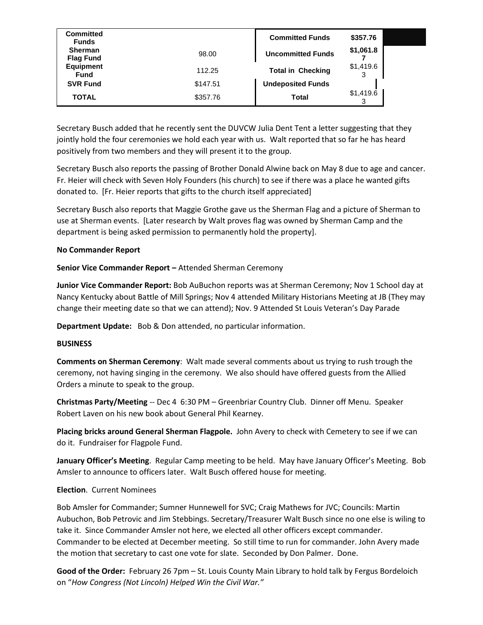| <b>Committed</b><br><b>Funds</b>   |          | <b>Committed Funds</b>   | \$357.76       |  |
|------------------------------------|----------|--------------------------|----------------|--|
| <b>Sherman</b><br><b>Flag Fund</b> | 98.00    | <b>Uncommitted Funds</b> | \$1,061.8      |  |
| Equipment<br><b>Fund</b>           | 112.25   | <b>Total in Checking</b> | \$1,419.6<br>3 |  |
| <b>SVR Fund</b>                    | \$147.51 | <b>Undeposited Funds</b> |                |  |
| <b>TOTAL</b>                       | \$357.76 | Total                    | \$1,419.6      |  |

Secretary Busch added that he recently sent the DUVCW Julia Dent Tent a letter suggesting that they jointly hold the four ceremonies we hold each year with us. Walt reported that so far he has heard positively from two members and they will present it to the group.

Secretary Busch also reports the passing of Brother Donald Alwine back on May 8 due to age and cancer. Fr. Heier will check with Seven Holy Founders (his church) to see if there was a place he wanted gifts donated to. [Fr. Heier reports that gifts to the church itself appreciated]

Secretary Busch also reports that Maggie Grothe gave us the Sherman Flag and a picture of Sherman to use at Sherman events. [Later research by Walt proves flag was owned by Sherman Camp and the department is being asked permission to permanently hold the property].

#### **No Commander Report**

**Senior Vice Commander Report –** Attended Sherman Ceremony

**Junior Vice Commander Report:** Bob AuBuchon reports was at Sherman Ceremony; Nov 1 School day at Nancy Kentucky about Battle of Mill Springs; Nov 4 attended Military Historians Meeting at JB (They may change their meeting date so that we can attend); Nov. 9 Attended St Louis Veteran's Day Parade

**Department Update:** Bob & Don attended, no particular information.

#### **BUSINESS**

**Comments on Sherman Ceremony**: Walt made several comments about us trying to rush trough the ceremony, not having singing in the ceremony. We also should have offered guests from the Allied Orders a minute to speak to the group.

**Christmas Party/Meeting** -- Dec 4 6:30 PM – Greenbriar Country Club. Dinner off Menu. Speaker Robert Laven on his new book about General Phil Kearney.

**Placing bricks around General Sherman Flagpole.** John Avery to check with Cemetery to see if we can do it. Fundraiser for Flagpole Fund.

**January Officer's Meeting**. Regular Camp meeting to be held. May have January Officer's Meeting. Bob Amsler to announce to officers later. Walt Busch offered house for meeting.

#### **Election**. Current Nominees

Bob Amsler for Commander; Sumner Hunnewell for SVC; Craig Mathews for JVC; Councils: Martin Aubuchon, Bob Petrovic and Jim Stebbings. Secretary/Treasurer Walt Busch since no one else is wiling to take it. Since Commander Amsler not here, we elected all other officers except commander. Commander to be elected at December meeting. So still time to run for commander. John Avery made the motion that secretary to cast one vote for slate. Seconded by Don Palmer. Done.

**Good of the Order:** February 26 7pm – St. Louis County Main Library to hold talk by Fergus Bordeloich on "*How Congress (Not Lincoln) Helped Win the Civil War."*